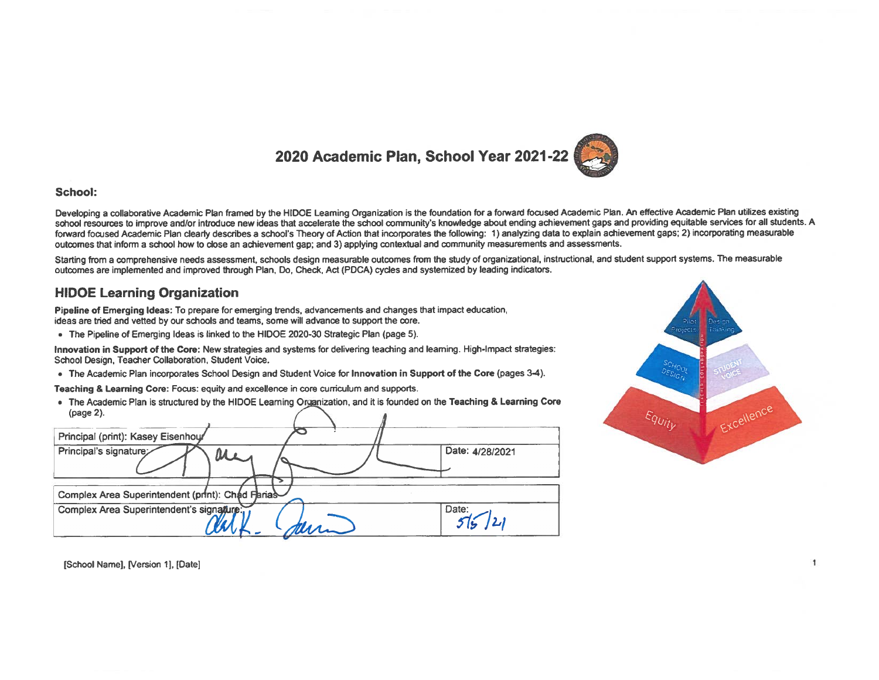### 2020 Academic Plan, School Year 2021-22



#### **School:**

Developing a collaborative Academic Plan framed by the HIDOE Leaming Organization is the foundation for a forward focused Academic Plan. An effective Academic Plan utilizes existing school resources to improve and/or introduce new ideas that accelerate the school community's knowledge about ending achievement gaps and providing equitable services for all students. A forward focused Academic Plan clearly describes a school's Theory of Action that incorporates the following: 1) analyzing data to explain achievement gaps; 2) incorporating measurable outcomes that inform a school how to close an achievement gap: and 3) applying contextual and community measurements and assessments.

Starting from a comprehensive needs assessment, schools design measurable outcomes from the study of organizational, instructional, and student support systems. The measurable outcomes are implemented and improved through Plan, Do, Check, Act (PDCA) cycles and systemized by leading indicators.

### **HIDOE Learning Organization**

Pipeline of Emerging Ideas: To prepare for emerging trends, advancements and changes that impact education, ideas are tried and vetted by our schools and teams, some will advance to support the core.

• The Pipeline of Emerging Ideas is linked to the HIDOE 2020-30 Strategic Plan (page 5).

Innovation in Support of the Core: New strategies and systems for delivering teaching and learning. High-Impact strategies: School Design, Teacher Collaboration, Student Voice.

• The Academic Plan incorporates School Design and Student Voice for Innovation in Support of the Core (pages 3-4).

Teaching & Learning Core: Focus: equity and excellence in core curriculum and supports.

• The Academic Plan is structured by the HIDOE Leaming Organization, and it is founded on the Teaching & Learning Core (page 2).





[School Name], [Version 1], [Date]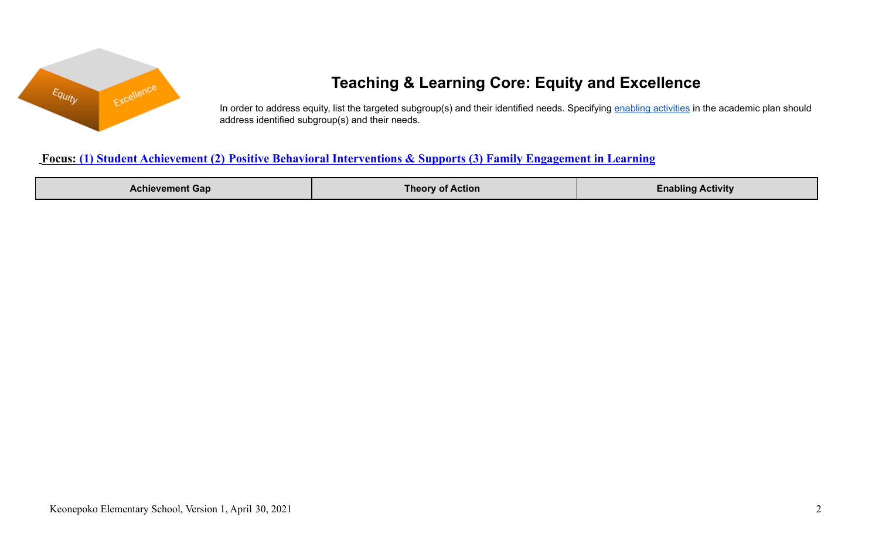

# **Teaching & Learning Core: Equity and Excellence**

In order to address equity, list the targeted subgroup(s) and their identified needs. Specifying enabling [activities](https://docs.google.com/document/d/1_CBCCCUPTqpr2sEeh1fQ9EUVupyhBBZlYUdzcm9zCw0/edit) in the academic plan should address identified subgroup(s) and their needs.

### **Focus: (1) Student Achievement (2) Positive Behavioral Interventions & Supports (3) Family Engagement in Learning**

| $\lambda$ cnievement Gap $\tau$ | <b>Action</b><br>l neo | Activity |
|---------------------------------|------------------------|----------|
|                                 |                        |          |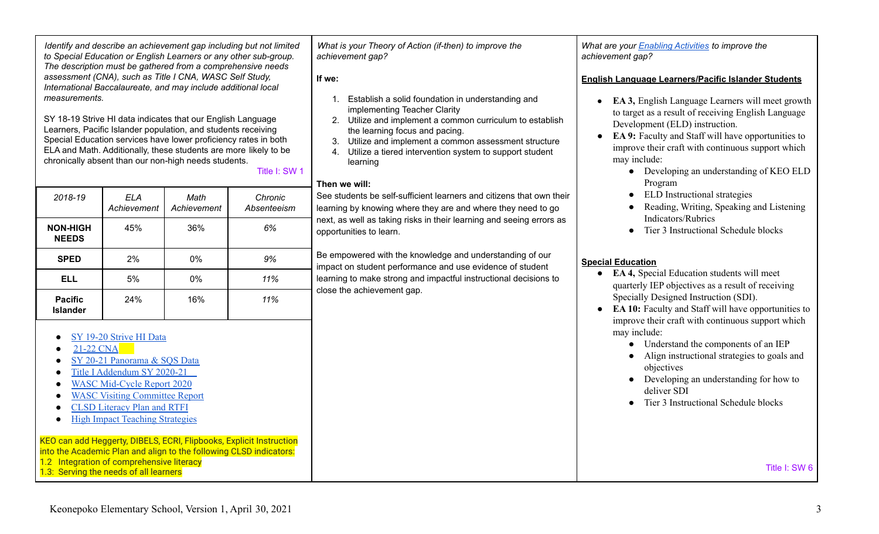ELA and Math. Additionally, these students are more likely to be chronically absent than our non-high needs students. Title I: SW 1 *2018-19 ELA Math Chronic*

SY 18-19 Strive HI data indicates that our English Language Learners, Pacific Islander population, and students receiving Special Education services have lower proficiency rates in both

*Identify and describe an achievement gap including but not limited to Special Education or English Learners or any other sub-group. The description must be gathered from a comprehensive needs assessment (CNA), such as Title I CNA, WASC Self Study, International Baccalaureate, and may include additional local*

|                                   | Achievement | Achievement | Absenteeism |
|-----------------------------------|-------------|-------------|-------------|
| <b>NON-HIGH</b><br><b>NEEDS</b>   | 45%         | 36%         | 6%          |
| <b>SPED</b>                       | 2%          | 0%          | 9%          |
| <b>ELL</b>                        | 5%          | 0%          | 11%         |
| <b>Pacific</b><br><b>Islander</b> | 24%         | 16%         | 11%         |

- SY 19-20 [Strive](https://www.hawaiipublicschools.org/Reports/StriveHIKeonepokoEl20.pdf) HI Data
- [21-22](https://docs.google.com/document/d/1iKojzKQE36yNfYC2ebPz7wOl5aEg4p4Kcb4YFceojQc/edit?usp=sharing) CNA

*measurements.*

- SY 20-21 [Panorama](https://drive.google.com/drive/u/0/folders/10TE149SOXOJmm75IVPm9ChUbjqelTl6u) & SOS Data
- Title I [Addendum](https://docs.google.com/document/d/1gS_95HkICD7b1l88LqLXztB2wDExhr50gJWe1Gf2GF8/edit?usp=sharing) SY 2020-21
- WASC [Mid-Cycle](https://docs.google.com/document/d/18Irlwc2VpCXR8xD-zgYqZMLAFWQBDsClmCkulKPTfac/edit) Report 2020
- **WASC Visiting [Committee](https://docs.google.com/document/d/1Y7UAFsVhIUZ4Nt-gGLavHfhIiw2GzRAHyxPQ6zxZyRM/edit) Report**
- CLSD [Literacy](https://docs.google.com/document/d/1WKo-hCZTL_qlM4wNxOG5UG_Ym52f9XROtl0BV6UQKSk/edit?usp=sharing) Plan and RTFI
- High Impact Teaching [Strategies](https://www.education.vic.gov.au/Documents/school/teachers/support/high-impact-teaching-strategies.pdf)

KEO can add Heggerty, DIBELS, ECRI, Flipbooks, Explicit Instruction into the Academic Plan and align to the following CLSD indicators: 1.2 Integration of comprehensive literacy 1.3: Serving the needs of all learners

*What is your Theory of Action (if-then) to improve the achievement gap?*

**If we:**

- 1. Establish a solid foundation in understanding and implementing Teacher Clarity
- 2. Utilize and implement a common curriculum to establish the learning focus and pacing.
- 3. Utilize and implement a common assessment structure
- 4. Utilize a tiered intervention system to support student learning

### **Then we will:**

See students be self-sufficient learners and citizens that own their learning by knowing where they are and where they need to go next, as well as taking risks in their learning and seeing errors as opportunities to learn.

Be empowered with the knowledge and understanding of our impact on student performance and use evidence of student learning to make strong and impactful instructional decisions to close the achievement gap.

*What are your Enabling [Activities](https://docs.google.com/document/d/1_CBCCCUPTqpr2sEeh1fQ9EUVupyhBBZlYUdzcm9zCw0/edit) to improve the achievement gap?*

### **English Language Learners/Pacific Islander Students**

- **EA 3,** English Language Learners will meet growth to target as a result of receiving English Language Development (ELD) instruction.
- **EA 9:** Faculty and Staff will have opportunities to improve their craft with continuous support which may include:
	- Developing an understanding of KEO ELD Program
	- ELD Instructional strategies
	- Reading, Writing, Speaking and Listening Indicators/Rubrics
	- Tier 3 Instructional Schedule blocks

### **Special Education**

- **EA 4,** Special Education students will meet quarterly IEP objectives as a result of receiving Specially Designed Instruction (SDI).
- **EA 10:** Faculty and Staff will have opportunities to improve their craft with continuous support which may include:
	- Understand the components of an IEP
	- Align instructional strategies to goals and objectives
	- Developing an understanding for how to deliver SDI
	- Tier 3 Instructional Schedule blocks

Title I: SW 6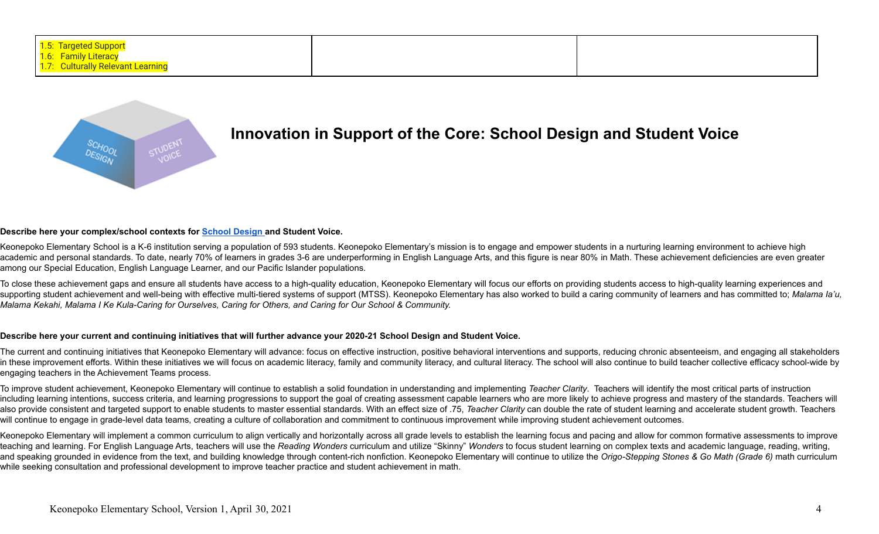

## **Innovation in Support of the Core: School Design and Student Voice**

#### **Describe here your complex/school contexts for School [Design](http://www.hawaiipublicschools.org/DOE%20Forms/strategies/SD-FullImplementation.pdf) and Student Voice.**

Keonepoko Elementary School is a K-6 institution serving a population of 593 students. Keonepoko Elementary's mission is to engage and empower students in a nurturing learning environment to achieve high academic and personal standards. To date, nearly 70% of learners in grades 3-6 are underperforming in English Language Arts, and this figure is near 80% in Math. These achievement deficiencies are even greater among our Special Education, English Language Learner, and our Pacific Islander populations.

To close these achievement gaps and ensure all students have access to a high-quality education, Keonepoko Elementary will focus our efforts on providing students access to high-quality learning experiences and supporting student achievement and well-being with effective multi-tiered systems of support (MTSS). Keonepoko Elementary has also worked to build a caring community of learners and has committed to; Malama la'u, Malama Kekahi, Malama I Ke Kula-Caring for Ourselves, Caring for Others, and Caring for Our School & Community.

#### Describe here your current and continuing initiatives that will further advance your 2020-21 School Design and Student Voice.

The current and continuing initiatives that Keonepoko Elementary will advance: focus on effective instruction, positive behavioral interventions and supports, reducing chronic absenteeism, and engaging all stakeholders in these improvement efforts. Within these initiatives we will focus on academic literacy, family and community literacy, and cultural literacy. The school will also continue to build teacher collective efficacy school-wid engaging teachers in the Achievement Teams process.

To improve student achievement, Keonepoko Elementary will continue to establish a solid foundation in understanding and implementing Teacher Clarity. Teachers will identify the most critical parts of instruction including learning intentions, success criteria, and learning progressions to support the goal of creating assessment capable learners who are more likely to achieve progress and mastery of the standards. Teachers will also provide consistent and targeted support to enable students to master essential standards. With an effect size of .75, Teacher Clarity can double the rate of student learning and accelerate student growth. Teachers will continue to engage in grade-level data teams, creating a culture of collaboration and commitment to continuous improvement while improving student achievement outcomes.

Keonepoko Elementary will implement a common curriculum to align vertically and horizontally across all grade levels to establish the learning focus and pacing and allow for common formative assessments to improve teaching and learning. For English Language Arts, teachers will use the Reading Wonders curriculum and utilize "Skinny" Wonders to focus student learning on complex texts and academic language, reading, writing, and speaking grounded in evidence from the text, and building knowledge through content-rich nonfiction. Keonepoko Elementary will continue to utilize the Origo-Stepping Stones & Go Math (Grade 6) math curriculum while seeking consultation and professional development to improve teacher practice and student achievement in math.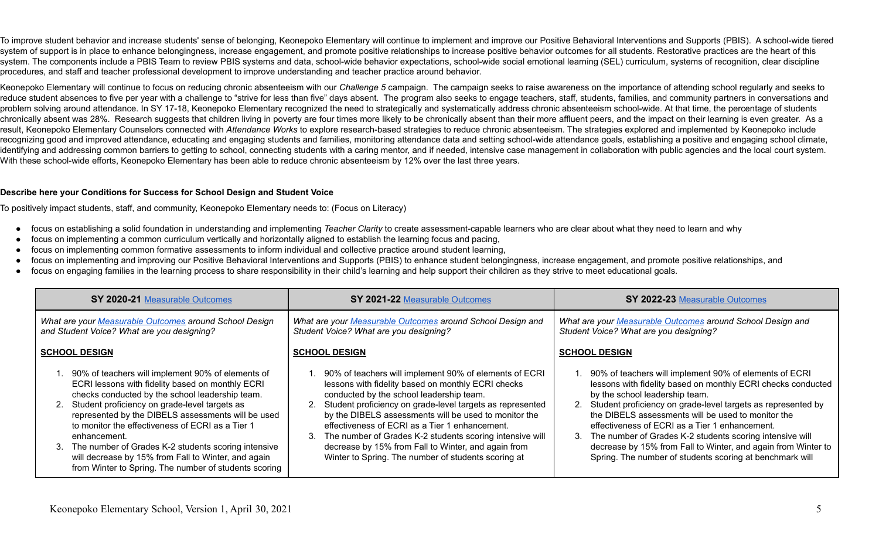To improve student behavior and increase students' sense of belonging, Keonepoko Elementary will continue to implement and improve our Positive Behavioral Interventions and Supports (PBIS). A school-wide tiered system of support is in place to enhance belongingness, increase engagement, and promote positive relationships to increase positive behavior outcomes for all students. Restorative practices are the heart of this system. The components include a PBIS Team to review PBIS systems and data, school-wide behavior expectations, school-wide social emotional learning (SEL) curriculum, systems of recognition, clear discipline procedures, and staff and teacher professional development to improve understanding and teacher practice around behavior.

Keonepoko Elementary will continue to focus on reducing chronic absenteeism with our *Challenge* 5 campaign. The campaign seeks to raise awareness on the importance of attending school regularly and seeks to reduce student absences to five per year with a challenge to "strive for less than five" days absent. The program also seeks to engage teachers, staff, students, families, and community partners in conversations and problem solving around attendance. In SY 17-18, Keonepoko Elementary recognized the need to strategically and systematically address chronic absenteeism school-wide. At that time, the percentage of students chronically absent was 28%. Research suggests that children living in poverty are four times more likely to be chronically absent than their more affluent peers, and the impact on their learning is even greater. As a result, Keonepoko Elementary Counselors connected with *Attendance Works* to explore research-based strategies to reduce chronic absenteeism. The strategies explored and implemented by Keonepoko include recognizing good and improved attendance, educating and engaging students and families, monitoring attendance data and setting school-wide attendance goals, establishing a positive and engaging school climate, identifying and addressing common barriers to getting to school, connecting students with a caring mentor, and if needed, intensive case management in collaboration with public agencies and the local court system. With these school-wide efforts, Keonepoko Elementary has been able to reduce chronic absenteeism by 12% over the last three years.

#### **Describe here your Conditions for Success for School Design and Student Voice**

To positively impact students, staff, and community, Keonepoko Elementary needs to: (Focus on Literacy)

- focus on establishing a solid foundation in understanding and implementing *Teacher Clarity* to create assessment-capable learners who are clear about what they need to learn and why
- focus on implementing a common curriculum vertically and horizontally aligned to establish the learning focus and pacing,
- focus on implementing common formative assessments to inform individual and collective practice around student learning,
- focus on implementing and improving our Positive Behavioral Interventions and Supports (PBIS) to enhance student belongingness, increase engagement, and promote positive relationships, and
- focus on engaging families in the learning process to share responsibility in their child's learning and help support their children as they strive to meet educational goals.

| SY 2020-21 Measurable Outcomes                                                                                                                                                                                                                                                                                                                                                                                                                                                                                           | SY 2021-22 Measurable Outcomes                                                                                                                                                                                                                                                                                                                                                                                                                                                                                      | SY 2022-23 Measurable Outcomes                                                                                                                                                                                                                                                                                                                                                                                                                                                                                                     |  |  |
|--------------------------------------------------------------------------------------------------------------------------------------------------------------------------------------------------------------------------------------------------------------------------------------------------------------------------------------------------------------------------------------------------------------------------------------------------------------------------------------------------------------------------|---------------------------------------------------------------------------------------------------------------------------------------------------------------------------------------------------------------------------------------------------------------------------------------------------------------------------------------------------------------------------------------------------------------------------------------------------------------------------------------------------------------------|------------------------------------------------------------------------------------------------------------------------------------------------------------------------------------------------------------------------------------------------------------------------------------------------------------------------------------------------------------------------------------------------------------------------------------------------------------------------------------------------------------------------------------|--|--|
| What are your Measurable Outcomes around School Design<br>and Student Voice? What are you designing?                                                                                                                                                                                                                                                                                                                                                                                                                     | What are your Measurable Outcomes around School Design and<br>Student Voice? What are you designing?                                                                                                                                                                                                                                                                                                                                                                                                                | What are your Measurable Outcomes around School Design and<br>Student Voice? What are you designing?                                                                                                                                                                                                                                                                                                                                                                                                                               |  |  |
| <b>SCHOOL DESIGN</b>                                                                                                                                                                                                                                                                                                                                                                                                                                                                                                     | <b>SCHOOL DESIGN</b>                                                                                                                                                                                                                                                                                                                                                                                                                                                                                                | <b>SCHOOL DESIGN</b>                                                                                                                                                                                                                                                                                                                                                                                                                                                                                                               |  |  |
| 90% of teachers will implement 90% of elements of<br>ECRI lessons with fidelity based on monthly ECRI<br>checks conducted by the school leadership team.<br>2. Student proficiency on grade-level targets as<br>represented by the DIBELS assessments will be used<br>to monitor the effectiveness of ECRI as a Tier 1<br>enhancement.<br>The number of Grades K-2 students scoring intensive<br>$3_{-}$<br>will decrease by 15% from Fall to Winter, and again<br>from Winter to Spring. The number of students scoring | 1. 90% of teachers will implement 90% of elements of ECRI<br>lessons with fidelity based on monthly ECRI checks<br>conducted by the school leadership team.<br>2. Student proficiency on grade-level targets as represented<br>by the DIBELS assessments will be used to monitor the<br>effectiveness of ECRI as a Tier 1 enhancement.<br>3. The number of Grades K-2 students scoring intensive will<br>decrease by 15% from Fall to Winter, and again from<br>Winter to Spring. The number of students scoring at | 90% of teachers will implement 90% of elements of ECRI<br>lessons with fidelity based on monthly ECRI checks conducted<br>by the school leadership team.<br>2. Student proficiency on grade-level targets as represented by<br>the DIBELS assessments will be used to monitor the<br>effectiveness of ECRI as a Tier 1 enhancement.<br>The number of Grades K-2 students scoring intensive will<br>3.<br>decrease by 15% from Fall to Winter, and again from Winter to<br>Spring. The number of students scoring at benchmark will |  |  |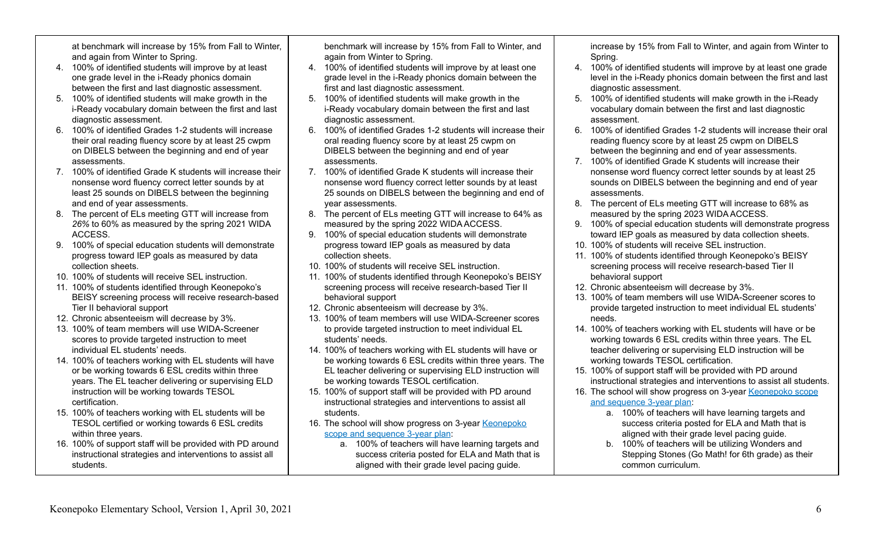at benchmark will increase by 15% from Fall to Winter, and again from Winter to Spring.

- 4. 100% of identified students will improve by at least one grade level in the i-Ready phonics domain between the first and last diagnostic assessment.
- 5. 100% of identified students will make growth in the i-Ready vocabulary domain between the first and last diagnostic assessment.
- 6. 100% of identified Grades 1-2 students will increase their oral reading fluency score by at least 25 cwpm on DIBELS between the beginning and end of year assessments.
- 7. 100% of identified Grade K students will increase their nonsense word fluency correct letter sounds by at least 25 sounds on DIBELS between the beginning and end of year assessments.
- 8. The percent of ELs meeting GTT will increase from *26%* to 60% as measured by the spring 2021 WIDA ACCESS.
- 9. 100% of special education students will demonstrate progress toward IEP goals as measured by data collection sheets.
- 10. 100% of students will receive SEL instruction.
- 11. 100% of students identified through Keonepoko's BEISY screening process will receive research-based Tier II behavioral support
- 12. Chronic absenteeism will decrease by 3%.
- 13. 100% of team members will use WIDA-Screener scores to provide targeted instruction to meet individual EL students' needs.
- 14. 100% of teachers working with EL students will have or be working towards 6 ESL credits within three years. The EL teacher delivering or supervising ELD instruction will be working towards TESOL certification.
- 15. 100% of teachers working with EL students will be TESOL certified or working towards 6 ESL credits within three years.
- 16. 100% of support staff will be provided with PD around instructional strategies and interventions to assist all students.

benchmark will increase by 15% from Fall to Winter, and again from Winter to Spring.

- 4. 100% of identified students will improve by at least one grade level in the i-Ready phonics domain between the first and last diagnostic assessment.
- 5. 100% of identified students will make growth in the i-Ready vocabulary domain between the first and last diagnostic assessment.
- 6. 100% of identified Grades 1-2 students will increase their oral reading fluency score by at least 25 cwpm on DIBELS between the beginning and end of year assessments.
- 7. 100% of identified Grade K students will increase their nonsense word fluency correct letter sounds by at least 25 sounds on DIBELS between the beginning and end of year assessments.
- 8. The percent of ELs meeting GTT will increase to 64% as measured by the spring 2022 WIDA ACCESS.
- 9. 100% of special education students will demonstrate progress toward IEP goals as measured by data collection sheets.
- 10. 100% of students will receive SEL instruction.
- 11. 100% of students identified through Keonepoko's BEISY screening process will receive research-based Tier II behavioral support
- 12. Chronic absenteeism will decrease by 3%.
- 13. 100% of team members will use WIDA-Screener scores to provide targeted instruction to meet individual EL students' needs.
- 14. 100% of teachers working with EL students will have or be working towards 6 ESL credits within three years. The EL teacher delivering or supervising ELD instruction will be working towards TESOL certification.
- 15. 100% of support staff will be provided with PD around instructional strategies and interventions to assist all students.
- 16. The school will show progress on 3-year [Keonepoko](https://docs.google.com/document/d/1uofJWQB7WGTEgYQu2ybna2rchNcmPMR1_9l2Q0UADsM/edit?usp=sharing) scope and [sequence](https://docs.google.com/document/d/1uofJWQB7WGTEgYQu2ybna2rchNcmPMR1_9l2Q0UADsM/edit?usp=sharing) 3-year plan:
	- a. 100% of teachers will have learning targets and success criteria posted for ELA and Math that is aligned with their grade level pacing guide.

increase by 15% from Fall to Winter, and again from Winter to Spring.

- 4. 100% of identified students will improve by at least one grade level in the i-Ready phonics domain between the first and last diagnostic assessment.
- 5. 100% of identified students will make growth in the i-Ready vocabulary domain between the first and last diagnostic assessment.
- 6. 100% of identified Grades 1-2 students will increase their oral reading fluency score by at least 25 cwpm on DIBELS between the beginning and end of year assessments.
- 7. 100% of identified Grade K students will increase their nonsense word fluency correct letter sounds by at least 25 sounds on DIBELS between the beginning and end of year assessments.
- 8. The percent of ELs meeting GTT will increase to 68% as measured by the spring 2023 WIDA ACCESS.
- 9. 100% of special education students will demonstrate progress toward IEP goals as measured by data collection sheets.
- 10. 100% of students will receive SEL instruction.
- 11. 100% of students identified through Keonepoko's BEISY screening process will receive research-based Tier II behavioral support
- 12. Chronic absenteeism will decrease by 3%.
- 13. 100% of team members will use WIDA-Screener scores to provide targeted instruction to meet individual EL students' needs.
- 14. 100% of teachers working with EL students will have or be working towards 6 ESL credits within three years. The EL teacher delivering or supervising ELD instruction will be working towards TESOL certification.
- 15. 100% of support staff will be provided with PD around instructional strategies and interventions to assist all students.
- 16. The school will show progress on 3-year [Keonepoko](https://docs.google.com/document/d/1uofJWQB7WGTEgYQu2ybna2rchNcmPMR1_9l2Q0UADsM/edit?usp=sharing) scope and [sequence](https://docs.google.com/document/d/1uofJWQB7WGTEgYQu2ybna2rchNcmPMR1_9l2Q0UADsM/edit?usp=sharing) 3-year plan:
	- a. 100% of teachers will have learning targets and success criteria posted for ELA and Math that is aligned with their grade level pacing guide.
	- b. 100% of teachers will be utilizing Wonders and Stepping Stones (Go Math! for 6th grade) as their common curriculum.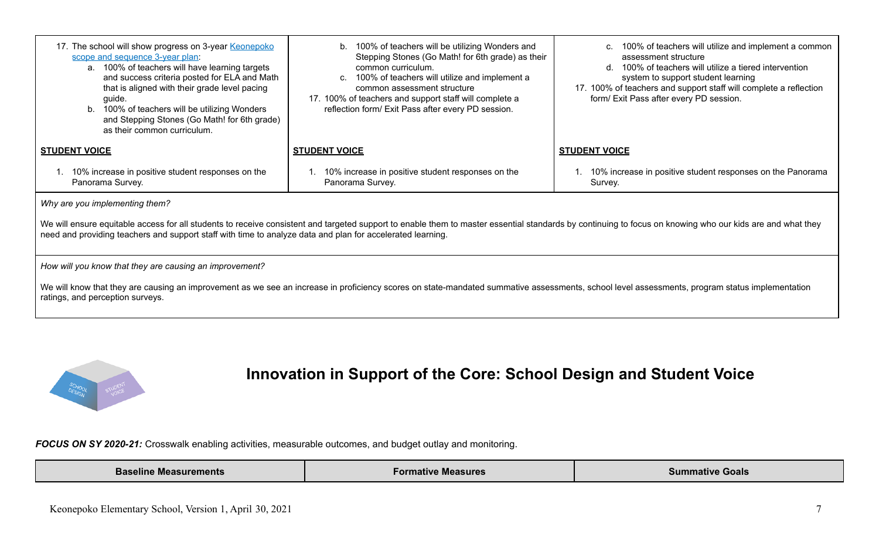| 17. The school will show progress on 3-year Keonepoko<br>100% of teachers will be utilizing Wonders and<br>b.<br>Stepping Stones (Go Math! for 6th grade) as their<br>scope and sequence 3-year plan:<br>a. 100% of teachers will have learning targets<br>common curriculum.<br>and success criteria posted for ELA and Math<br>100% of teachers will utilize and implement a<br>C.<br>that is aligned with their grade level pacing<br>common assessment structure<br>17. 100% of teachers and support staff will complete a<br>guide.<br>reflection form/ Exit Pass after every PD session.<br>b. 100% of teachers will be utilizing Wonders<br>and Stepping Stones (Go Math! for 6th grade)<br>as their common curriculum. |                                                                       | 100% of teachers will utilize and implement a common<br>C.<br>assessment structure<br>100% of teachers will utilize a tiered intervention<br>d.<br>system to support student learning<br>17. 100% of teachers and support staff will complete a reflection<br>form/ Exit Pass after every PD session. |  |  |  |  |  |
|--------------------------------------------------------------------------------------------------------------------------------------------------------------------------------------------------------------------------------------------------------------------------------------------------------------------------------------------------------------------------------------------------------------------------------------------------------------------------------------------------------------------------------------------------------------------------------------------------------------------------------------------------------------------------------------------------------------------------------|-----------------------------------------------------------------------|-------------------------------------------------------------------------------------------------------------------------------------------------------------------------------------------------------------------------------------------------------------------------------------------------------|--|--|--|--|--|
| <b>STUDENT VOICE</b>                                                                                                                                                                                                                                                                                                                                                                                                                                                                                                                                                                                                                                                                                                           | <b>STUDENT VOICE</b>                                                  | <b>STUDENT VOICE</b>                                                                                                                                                                                                                                                                                  |  |  |  |  |  |
| 10% increase in positive student responses on the<br>Panorama Survey.                                                                                                                                                                                                                                                                                                                                                                                                                                                                                                                                                                                                                                                          | 10% increase in positive student responses on the<br>Panorama Survey. | 10% increase in positive student responses on the Panorama<br>Survey.                                                                                                                                                                                                                                 |  |  |  |  |  |
| Why are you implementing them?                                                                                                                                                                                                                                                                                                                                                                                                                                                                                                                                                                                                                                                                                                 |                                                                       |                                                                                                                                                                                                                                                                                                       |  |  |  |  |  |
| We will ensure equitable access for all students to receive consistent and targeted support to enable them to master essential standards by continuing to focus on knowing who our kids are and what they<br>need and providing teachers and support staff with time to analyze data and plan for accelerated learning.                                                                                                                                                                                                                                                                                                                                                                                                        |                                                                       |                                                                                                                                                                                                                                                                                                       |  |  |  |  |  |

*How will you know that they are causing an improvement?*

We will know that they are causing an improvement as we see an increase in proficiency scores on state-mandated summative assessments, school level assessments, program status implementation ratings, and perception surveys.



## **Innovation in Support of the Core: School Design and Student Voice**

*FOCUS ON SY 2020-21:* Crosswalk enabling activities, measurable outcomes, and budget outlay and monitoring.

| .<br>Measurements<br><b>Baseline</b> | rnc<br>asures | Sun<br>Goals<br>.mative<br>,我们就是一个人的人,我们就是一个人的人,我们就是一个人的人,我们就是一个人的人,我们就是一个人的人,我们就是一个人的人,我们就是一个人的人,我们就是一个人的人 |
|--------------------------------------|---------------|-------------------------------------------------------------------------------------------------------------|
|--------------------------------------|---------------|-------------------------------------------------------------------------------------------------------------|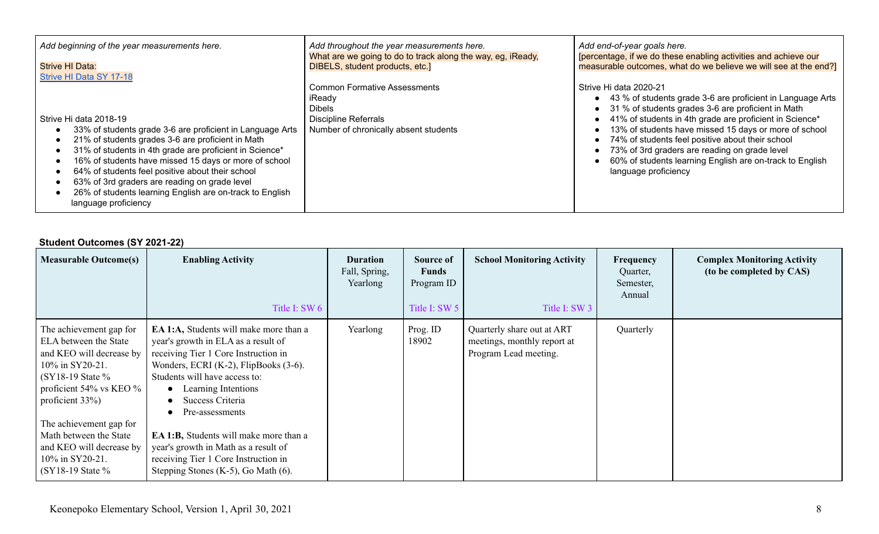| Add beginning of the year measurements here.                                                                                                                                                                                                                                                                                                                                                                                                          | Add throughout the year measurements here.                                                                                             | Add end-of-year goals here.                                                                                                                                                                                                                                                                                                                                                                                                                             |  |  |  |
|-------------------------------------------------------------------------------------------------------------------------------------------------------------------------------------------------------------------------------------------------------------------------------------------------------------------------------------------------------------------------------------------------------------------------------------------------------|----------------------------------------------------------------------------------------------------------------------------------------|---------------------------------------------------------------------------------------------------------------------------------------------------------------------------------------------------------------------------------------------------------------------------------------------------------------------------------------------------------------------------------------------------------------------------------------------------------|--|--|--|
| Strive HI Data:                                                                                                                                                                                                                                                                                                                                                                                                                                       | What are we going to do to track along the way, eg, iReady,                                                                            | [percentage, if we do these enabling activities and achieve our                                                                                                                                                                                                                                                                                                                                                                                         |  |  |  |
| <b>Strive HI Data SY 17-18</b>                                                                                                                                                                                                                                                                                                                                                                                                                        | DIBELS, student products, etc.]                                                                                                        | measurable outcomes, what do we believe we will see at the end?]                                                                                                                                                                                                                                                                                                                                                                                        |  |  |  |
| Strive Hi data 2018-19<br>33% of students grade 3-6 are proficient in Language Arts<br>21% of students grades 3-6 are proficient in Math<br>31% of students in 4th grade are proficient in Science*<br>16% of students have missed 15 days or more of school<br>64% of students feel positive about their school<br>63% of 3rd graders are reading on grade level<br>26% of students learning English are on-track to English<br>language proficiency | <b>Common Formative Assessments</b><br>iReady<br><b>Dibels</b><br><b>Discipline Referrals</b><br>Number of chronically absent students | Strive Hi data 2020-21<br>43 % of students grade 3-6 are proficient in Language Arts<br>31 % of students grades 3-6 are proficient in Math<br>41% of students in 4th grade are proficient in Science*<br>13% of students have missed 15 days or more of school<br>74% of students feel positive about their school<br>73% of 3rd graders are reading on grade level<br>60% of students learning English are on-track to English<br>language proficiency |  |  |  |

### **Student Outcomes (SY 2021-22)**

| <b>Measurable Outcome(s)</b>                                                                                                                                                                                                                                                                                         | <b>Enabling Activity</b><br>Title I: SW 6                                                                                                                                                                                                                                                                                                                                                                                                               | <b>Duration</b><br>Fall, Spring,<br>Yearlong | Source of<br><b>Funds</b><br>Program ID<br>Title I: SW 5 | <b>School Monitoring Activity</b><br>Title I: SW 3                                 | Frequency<br>Quarter,<br>Semester,<br>Annual | <b>Complex Monitoring Activity</b><br>(to be completed by CAS) |
|----------------------------------------------------------------------------------------------------------------------------------------------------------------------------------------------------------------------------------------------------------------------------------------------------------------------|---------------------------------------------------------------------------------------------------------------------------------------------------------------------------------------------------------------------------------------------------------------------------------------------------------------------------------------------------------------------------------------------------------------------------------------------------------|----------------------------------------------|----------------------------------------------------------|------------------------------------------------------------------------------------|----------------------------------------------|----------------------------------------------------------------|
| The achievement gap for<br>ELA between the State<br>and KEO will decrease by<br>10% in SY20-21.<br>$(SY18-19 \text{ State } \%$<br>proficient 54% vs KEO $\%$<br>proficient 33%)<br>The achievement gap for<br>Math between the State<br>and KEO will decrease by<br>10% in SY20-21.<br>$(SY18-19 \text{ State } \%$ | EA 1:A, Students will make more than a<br>year's growth in ELA as a result of<br>receiving Tier 1 Core Instruction in<br>Wonders, ECRI $(K-2)$ , FlipBooks $(3-6)$ .<br>Students will have access to:<br>Learning Intentions<br>$\bullet$<br>Success Criteria<br>Pre-assessments<br>EA 1:B, Students will make more than a<br>year's growth in Math as a result of<br>receiving Tier 1 Core Instruction in<br>Stepping Stones $(K-5)$ , Go Math $(6)$ . | Yearlong                                     | Prog. ID<br>18902                                        | Quarterly share out at ART<br>meetings, monthly report at<br>Program Lead meeting. | Quarterly                                    |                                                                |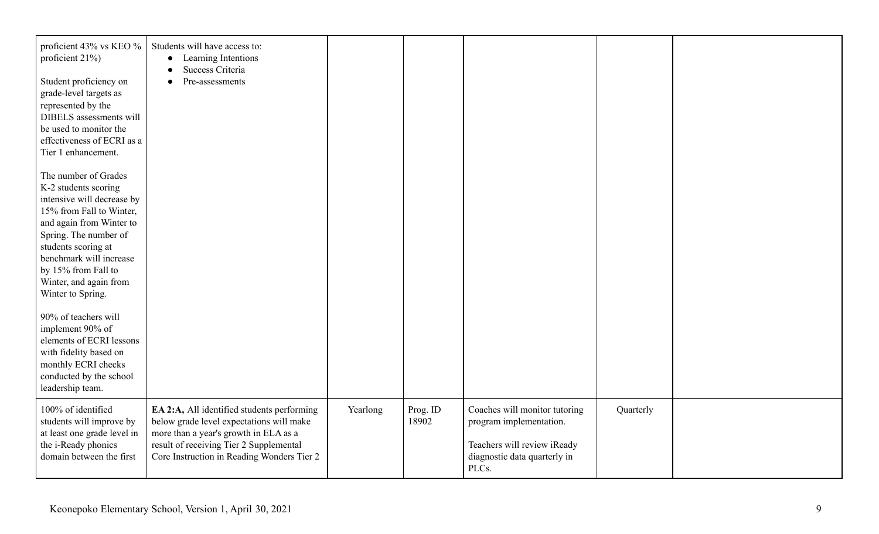| proficient 43% vs KEO %<br>proficient $21\%$ )<br>Student proficiency on<br>grade-level targets as<br>represented by the<br>DIBELS assessments will<br>be used to monitor the<br>effectiveness of ECRI as a<br>Tier 1 enhancement.                                                  | Students will have access to:<br>Learning Intentions<br>$\bullet$<br>Success Criteria<br>$\bullet$<br>Pre-assessments<br>$\bullet$                                                                                       |          |                   |                                                                                                                                  |           |  |
|-------------------------------------------------------------------------------------------------------------------------------------------------------------------------------------------------------------------------------------------------------------------------------------|--------------------------------------------------------------------------------------------------------------------------------------------------------------------------------------------------------------------------|----------|-------------------|----------------------------------------------------------------------------------------------------------------------------------|-----------|--|
| The number of Grades<br>K-2 students scoring<br>intensive will decrease by<br>15% from Fall to Winter,<br>and again from Winter to<br>Spring. The number of<br>students scoring at<br>benchmark will increase<br>by 15% from Fall to<br>Winter, and again from<br>Winter to Spring. |                                                                                                                                                                                                                          |          |                   |                                                                                                                                  |           |  |
| 90% of teachers will<br>implement 90% of<br>elements of ECRI lessons<br>with fidelity based on<br>monthly ECRI checks<br>conducted by the school<br>leadership team.                                                                                                                |                                                                                                                                                                                                                          |          |                   |                                                                                                                                  |           |  |
| 100% of identified<br>students will improve by<br>at least one grade level in<br>the i-Ready phonics<br>domain between the first                                                                                                                                                    | EA 2:A, All identified students performing<br>below grade level expectations will make<br>more than a year's growth in ELA as a<br>result of receiving Tier 2 Supplemental<br>Core Instruction in Reading Wonders Tier 2 | Yearlong | Prog. ID<br>18902 | Coaches will monitor tutoring<br>program implementation.<br>Teachers will review iReady<br>diagnostic data quarterly in<br>PLCs. | Quarterly |  |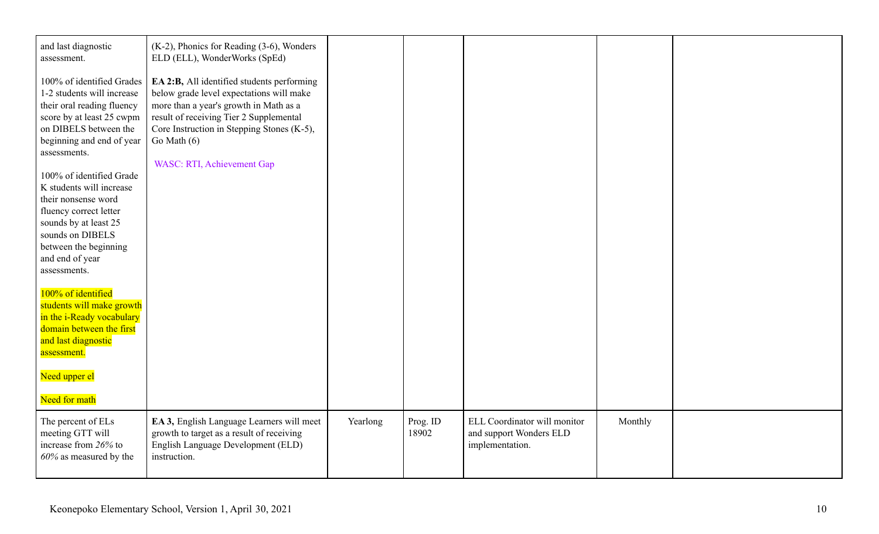| and last diagnostic<br>assessment.<br>100% of identified Grades<br>1-2 students will increase<br>their oral reading fluency<br>score by at least 25 cwpm<br>on DIBELS between the<br>beginning and end of year<br>assessments.<br>100% of identified Grade<br>K students will increase<br>their nonsense word<br>fluency correct letter<br>sounds by at least 25<br>sounds on DIBELS<br>between the beginning<br>and end of year<br>assessments.<br>100% of identified<br>students will make growth<br>in the i-Ready vocabulary<br>domain between the first<br>and last diagnostic<br>assessment.<br>Need upper el<br>Need for math | (K-2), Phonics for Reading (3-6), Wonders<br>ELD (ELL), WonderWorks (SpEd)<br>EA 2:B, All identified students performing<br>below grade level expectations will make<br>more than a year's growth in Math as a<br>result of receiving Tier 2 Supplemental<br>Core Instruction in Stepping Stones (K-5),<br>Go Math $(6)$<br><b>WASC: RTI, Achievement Gap</b> |          |                   |                                                                            |         |  |
|--------------------------------------------------------------------------------------------------------------------------------------------------------------------------------------------------------------------------------------------------------------------------------------------------------------------------------------------------------------------------------------------------------------------------------------------------------------------------------------------------------------------------------------------------------------------------------------------------------------------------------------|---------------------------------------------------------------------------------------------------------------------------------------------------------------------------------------------------------------------------------------------------------------------------------------------------------------------------------------------------------------|----------|-------------------|----------------------------------------------------------------------------|---------|--|
| The percent of ELs<br>meeting GTT will<br>increase from 26% to<br>$60\%$ as measured by the                                                                                                                                                                                                                                                                                                                                                                                                                                                                                                                                          | EA 3, English Language Learners will meet<br>growth to target as a result of receiving<br>English Language Development (ELD)<br>instruction.                                                                                                                                                                                                                  | Yearlong | Prog. ID<br>18902 | ELL Coordinator will monitor<br>and support Wonders ELD<br>implementation. | Monthly |  |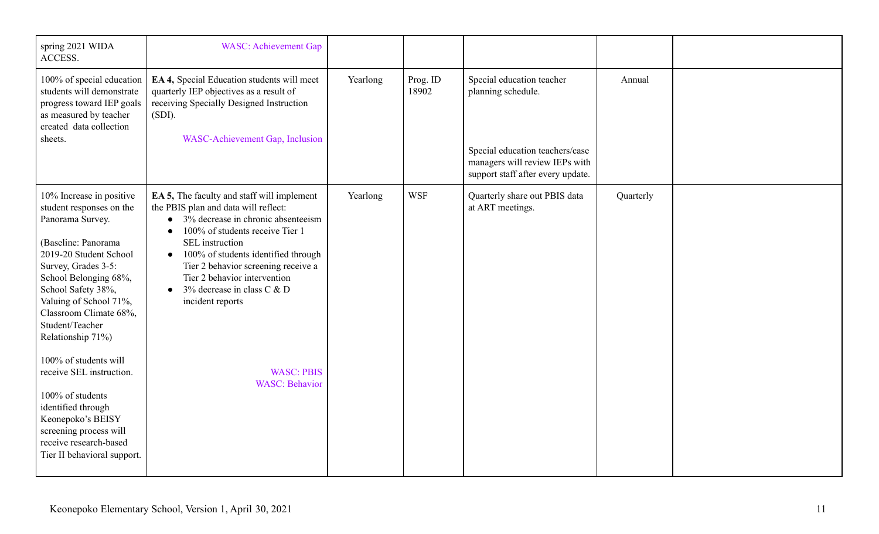| spring 2021 WIDA<br>ACCESS.                                                                                                                                                                                                                                                                                          | <b>WASC:</b> Achievement Gap                                                                                                                                                                                                                                                                                                                                                                  |          |                   |                                                                                                                                                           |           |  |
|----------------------------------------------------------------------------------------------------------------------------------------------------------------------------------------------------------------------------------------------------------------------------------------------------------------------|-----------------------------------------------------------------------------------------------------------------------------------------------------------------------------------------------------------------------------------------------------------------------------------------------------------------------------------------------------------------------------------------------|----------|-------------------|-----------------------------------------------------------------------------------------------------------------------------------------------------------|-----------|--|
| 100% of special education<br>students will demonstrate<br>progress toward IEP goals<br>as measured by teacher<br>created data collection<br>sheets.                                                                                                                                                                  | EA 4, Special Education students will meet<br>quarterly IEP objectives as a result of<br>receiving Specially Designed Instruction<br>$(SDI)$ .<br>WASC-Achievement Gap, Inclusion                                                                                                                                                                                                             | Yearlong | Prog. ID<br>18902 | Special education teacher<br>planning schedule.<br>Special education teachers/case<br>managers will review IEPs with<br>support staff after every update. | Annual    |  |
| 10% Increase in positive<br>student responses on the<br>Panorama Survey.<br>(Baseline: Panorama<br>2019-20 Student School<br>Survey, Grades 3-5:<br>School Belonging 68%,<br>School Safety 38%,<br>Valuing of School 71%,<br>Classroom Climate 68%,<br>Student/Teacher<br>Relationship 71%)<br>100% of students will | <b>EA 5,</b> The faculty and staff will implement<br>the PBIS plan and data will reflect:<br>$\bullet$ 3% decrease in chronic absenteeism<br>100% of students receive Tier 1<br>$\bullet$<br>SEL instruction<br>100% of students identified through<br>$\bullet$<br>Tier 2 behavior screening receive a<br>Tier 2 behavior intervention<br>• 3% decrease in class $C & D$<br>incident reports | Yearlong | <b>WSF</b>        | Quarterly share out PBIS data<br>at ART meetings.                                                                                                         | Quarterly |  |
| receive SEL instruction.<br>100% of students<br>identified through<br>Keonepoko's BEISY<br>screening process will<br>receive research-based<br>Tier II behavioral support.                                                                                                                                           | <b>WASC: PBIS</b><br><b>WASC: Behavior</b>                                                                                                                                                                                                                                                                                                                                                    |          |                   |                                                                                                                                                           |           |  |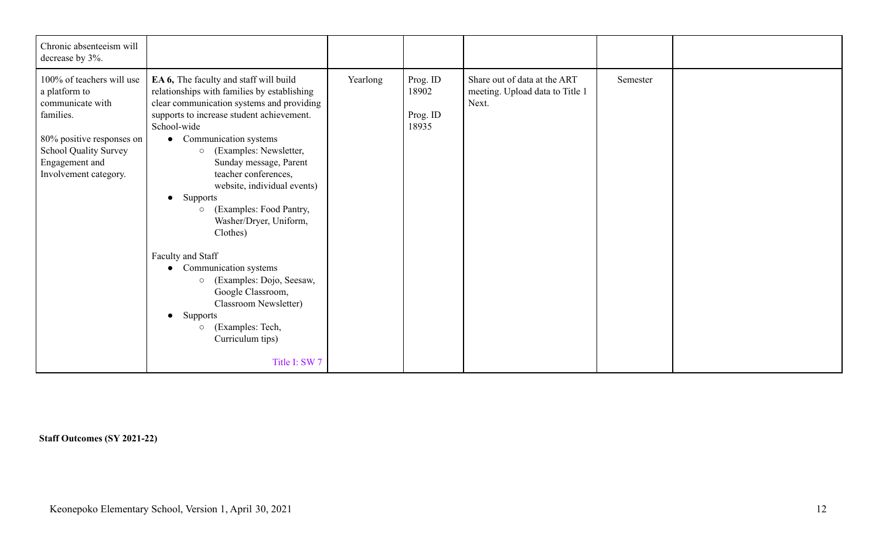| Chronic absenteeism will<br>decrease by 3%.                                                                                                                                         |                                                                                                                                                                                                                                                                                                                                                                                                                                                                                                                                                                                                                                                                                        |          |                                        |                                                                          |          |  |
|-------------------------------------------------------------------------------------------------------------------------------------------------------------------------------------|----------------------------------------------------------------------------------------------------------------------------------------------------------------------------------------------------------------------------------------------------------------------------------------------------------------------------------------------------------------------------------------------------------------------------------------------------------------------------------------------------------------------------------------------------------------------------------------------------------------------------------------------------------------------------------------|----------|----------------------------------------|--------------------------------------------------------------------------|----------|--|
| 100% of teachers will use<br>a platform to<br>communicate with<br>families.<br>80% positive responses on<br><b>School Quality Survey</b><br>Engagement and<br>Involvement category. | EA 6, The faculty and staff will build<br>relationships with families by establishing<br>clear communication systems and providing<br>supports to increase student achievement.<br>School-wide<br>• Communication systems<br>(Examples: Newsletter,<br>$\circ$<br>Sunday message, Parent<br>teacher conferences,<br>website, individual events)<br>• Supports<br>(Examples: Food Pantry,<br>$\circ$<br>Washer/Dryer, Uniform,<br>Clothes)<br>Faculty and Staff<br>Communication systems<br>$\bullet$<br>(Examples: Dojo, Seesaw,<br>$\circ$<br>Google Classroom,<br>Classroom Newsletter)<br>Supports<br>$\bullet$<br>(Examples: Tech,<br>$\circ$<br>Curriculum tips)<br>Title I: SW 7 | Yearlong | Prog. ID<br>18902<br>Prog. ID<br>18935 | Share out of data at the ART<br>meeting. Upload data to Title 1<br>Next. | Semester |  |

**Staff Outcomes (SY 2021-22)**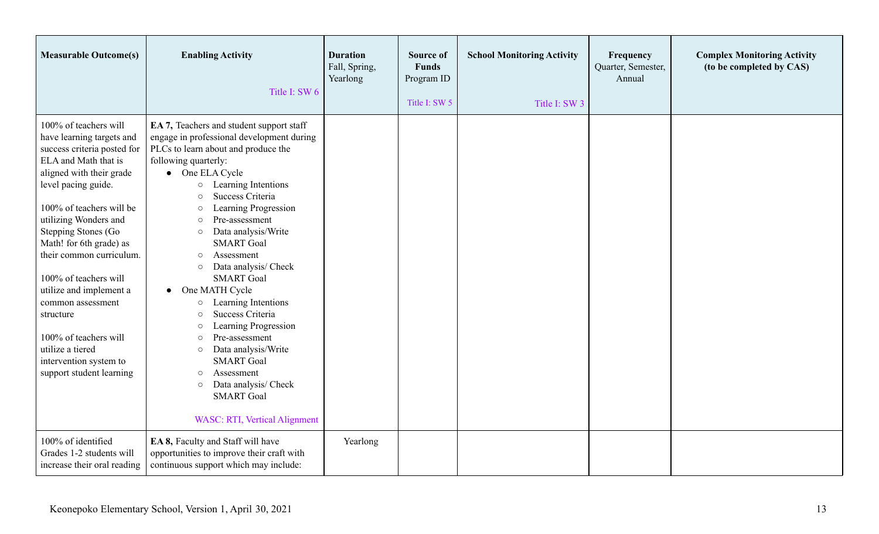| <b>Measurable Outcome(s)</b>                                                                                                                                                                                                                                                                                                                                                                                                                                                             | <b>Enabling Activity</b><br>Title I: SW 6                                                                                                                                                                                                                                                                                                                                                                                                                                                                                                                                                                                                                                                                                                                                                        | <b>Duration</b><br>Fall, Spring,<br>Yearlong | Source of<br><b>Funds</b><br>Program ID<br>Title I: SW 5 | <b>School Monitoring Activity</b><br>Title I: SW 3 | Frequency<br>Quarter, Semester,<br>Annual | <b>Complex Monitoring Activity</b><br>(to be completed by CAS) |
|------------------------------------------------------------------------------------------------------------------------------------------------------------------------------------------------------------------------------------------------------------------------------------------------------------------------------------------------------------------------------------------------------------------------------------------------------------------------------------------|--------------------------------------------------------------------------------------------------------------------------------------------------------------------------------------------------------------------------------------------------------------------------------------------------------------------------------------------------------------------------------------------------------------------------------------------------------------------------------------------------------------------------------------------------------------------------------------------------------------------------------------------------------------------------------------------------------------------------------------------------------------------------------------------------|----------------------------------------------|----------------------------------------------------------|----------------------------------------------------|-------------------------------------------|----------------------------------------------------------------|
| 100% of teachers will<br>have learning targets and<br>success criteria posted for<br>ELA and Math that is<br>aligned with their grade<br>level pacing guide.<br>100% of teachers will be<br>utilizing Wonders and<br>Stepping Stones (Go<br>Math! for 6th grade) as<br>their common curriculum.<br>100% of teachers will<br>utilize and implement a<br>common assessment<br>structure<br>100% of teachers will<br>utilize a tiered<br>intervention system to<br>support student learning | EA 7, Teachers and student support staff<br>engage in professional development during<br>PLCs to learn about and produce the<br>following quarterly:<br>• One ELA Cycle<br>Learning Intentions<br>$\circ$<br>Success Criteria<br>$\circ$<br>Learning Progression<br>$\circ$<br>Pre-assessment<br>$\circ$<br>Data analysis/Write<br>$\circ$<br><b>SMART</b> Goal<br>Assessment<br>$\circ$<br>Data analysis/ Check<br>$\circ$<br><b>SMART</b> Goal<br>One MATH Cycle<br>$\bullet$<br>Learning Intentions<br>$\circ$<br>Success Criteria<br>$\circ$<br>Learning Progression<br>$\circ$<br>Pre-assessment<br>$\circ$<br>Data analysis/Write<br>$\circ$<br><b>SMART</b> Goal<br>Assessment<br>$\circ$<br>Data analysis/ Check<br>$\circ$<br><b>SMART</b> Goal<br><b>WASC: RTI, Vertical Alignment</b> |                                              |                                                          |                                                    |                                           |                                                                |
| 100% of identified<br>Grades 1-2 students will<br>increase their oral reading                                                                                                                                                                                                                                                                                                                                                                                                            | EA 8, Faculty and Staff will have<br>opportunities to improve their craft with<br>continuous support which may include:                                                                                                                                                                                                                                                                                                                                                                                                                                                                                                                                                                                                                                                                          | Yearlong                                     |                                                          |                                                    |                                           |                                                                |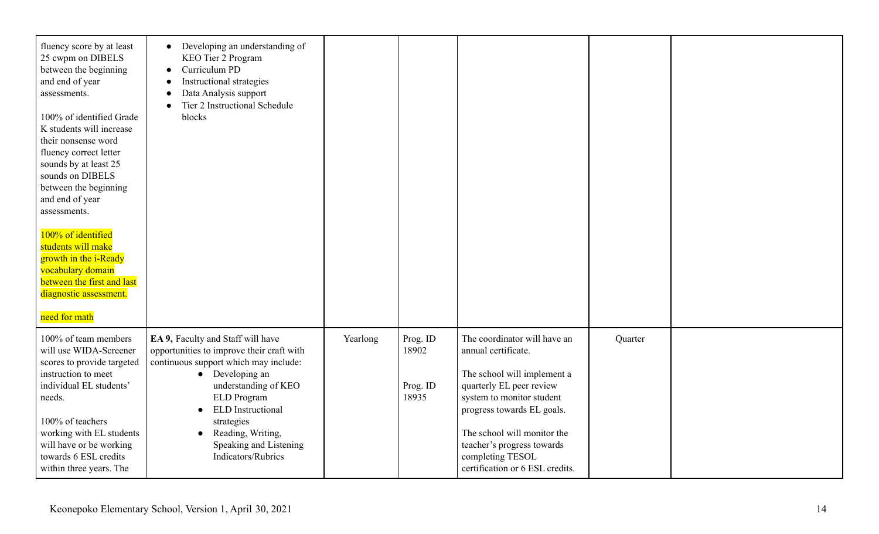| fluency score by at least<br>25 cwpm on DIBELS<br>between the beginning<br>and end of year<br>assessments.<br>100% of identified Grade<br>K students will increase<br>their nonsense word<br>fluency correct letter<br>sounds by at least 25<br>sounds on DIBELS<br>between the beginning<br>and end of year<br>assessments.<br>100% of identified<br>students will make<br>growth in the i-Ready<br>vocabulary domain<br>between the first and last<br>diagnostic assessment.<br>need for math | Developing an understanding of<br>$\bullet$<br>KEO Tier 2 Program<br>Curriculum PD<br>Instructional strategies<br>Data Analysis support<br>Tier 2 Instructional Schedule<br>blocks                                                                                                                                    |          |                                        |                                                                                                                                                                                                                                                                                               |         |  |
|-------------------------------------------------------------------------------------------------------------------------------------------------------------------------------------------------------------------------------------------------------------------------------------------------------------------------------------------------------------------------------------------------------------------------------------------------------------------------------------------------|-----------------------------------------------------------------------------------------------------------------------------------------------------------------------------------------------------------------------------------------------------------------------------------------------------------------------|----------|----------------------------------------|-----------------------------------------------------------------------------------------------------------------------------------------------------------------------------------------------------------------------------------------------------------------------------------------------|---------|--|
| 100% of team members<br>will use WIDA-Screener<br>scores to provide targeted<br>instruction to meet<br>individual EL students'<br>needs.<br>100% of teachers<br>working with EL students<br>will have or be working<br>towards 6 ESL credits<br>within three years. The                                                                                                                                                                                                                         | EA 9, Faculty and Staff will have<br>opportunities to improve their craft with<br>continuous support which may include:<br>$\bullet$ Developing an<br>understanding of KEO<br>ELD Program<br><b>ELD</b> Instructional<br>strategies<br>Reading, Writing,<br>$\bullet$<br>Speaking and Listening<br>Indicators/Rubrics | Yearlong | Prog. ID<br>18902<br>Prog. ID<br>18935 | The coordinator will have an<br>annual certificate.<br>The school will implement a<br>quarterly EL peer review<br>system to monitor student<br>progress towards EL goals.<br>The school will monitor the<br>teacher's progress towards<br>completing TESOL<br>certification or 6 ESL credits. | Quarter |  |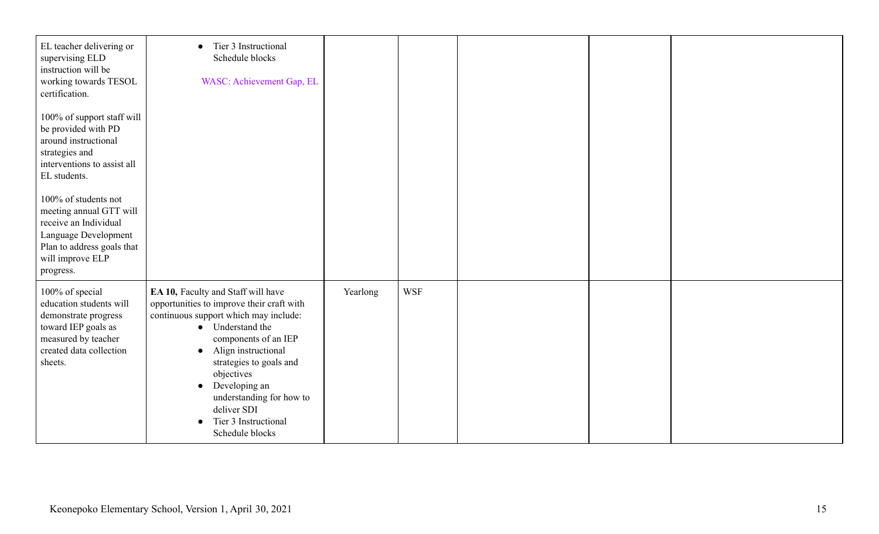| EL teacher delivering or<br>supervising ELD<br>instruction will be<br>working towards TESOL<br>certification.<br>100% of support staff will<br>be provided with PD<br>around instructional<br>strategies and<br>interventions to assist all<br>EL students.<br>100% of students not | Tier 3 Instructional<br>$\bullet$<br>Schedule blocks<br>WASC: Achievement Gap, EL                                                                                                                                                                                                                                                                                     |          |            |  |  |
|-------------------------------------------------------------------------------------------------------------------------------------------------------------------------------------------------------------------------------------------------------------------------------------|-----------------------------------------------------------------------------------------------------------------------------------------------------------------------------------------------------------------------------------------------------------------------------------------------------------------------------------------------------------------------|----------|------------|--|--|
| meeting annual GTT will<br>receive an Individual<br>Language Development<br>Plan to address goals that<br>will improve ELP<br>progress.                                                                                                                                             |                                                                                                                                                                                                                                                                                                                                                                       |          |            |  |  |
| 100% of special<br>education students will<br>demonstrate progress<br>toward IEP goals as<br>measured by teacher<br>created data collection<br>sheets.                                                                                                                              | EA 10, Faculty and Staff will have<br>opportunities to improve their craft with<br>continuous support which may include:<br>• Understand the<br>components of an IEP<br>Align instructional<br>$\bullet$<br>strategies to goals and<br>objectives<br>Developing an<br>$\bullet$<br>understanding for how to<br>deliver SDI<br>Tier 3 Instructional<br>Schedule blocks | Yearlong | <b>WSF</b> |  |  |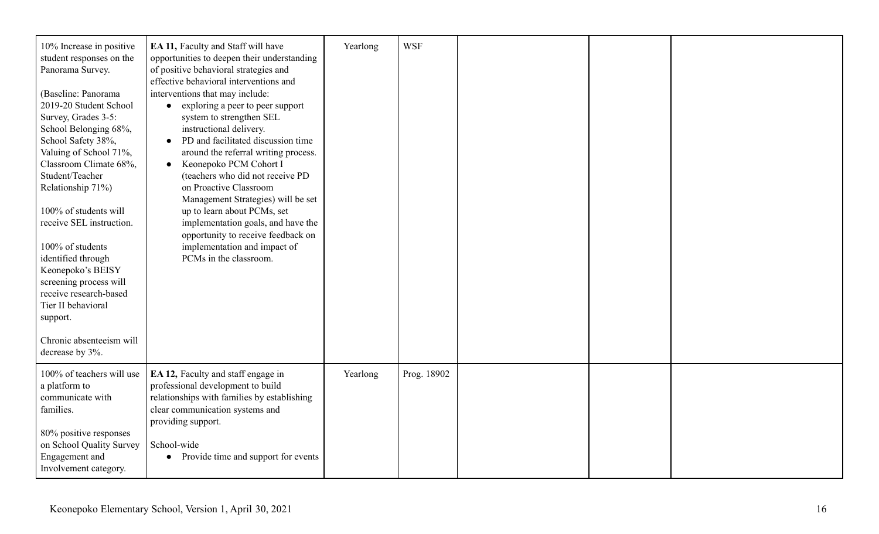| 10% Increase in positive<br>student responses on the<br>Panorama Survey.<br>(Baseline: Panorama<br>2019-20 Student School<br>Survey, Grades 3-5:<br>School Belonging 68%,<br>School Safety 38%,<br>Valuing of School 71%,<br>Classroom Climate 68%,<br>Student/Teacher<br>Relationship 71%)<br>100% of students will<br>receive SEL instruction.<br>100% of students<br>identified through<br>Keonepoko's BEISY<br>screening process will<br>receive research-based<br>Tier II behavioral<br>support. | EA 11, Faculty and Staff will have<br>opportunities to deepen their understanding<br>of positive behavioral strategies and<br>effective behavioral interventions and<br>interventions that may include:<br>• exploring a peer to peer support<br>system to strengthen SEL<br>instructional delivery.<br>PD and facilitated discussion time<br>around the referral writing process.<br>• Keonepoko PCM Cohort I<br>(teachers who did not receive PD<br>on Proactive Classroom<br>Management Strategies) will be set<br>up to learn about PCMs, set<br>implementation goals, and have the<br>opportunity to receive feedback on<br>implementation and impact of<br>PCMs in the classroom. | Yearlong | <b>WSF</b>  |  |  |
|-------------------------------------------------------------------------------------------------------------------------------------------------------------------------------------------------------------------------------------------------------------------------------------------------------------------------------------------------------------------------------------------------------------------------------------------------------------------------------------------------------|-----------------------------------------------------------------------------------------------------------------------------------------------------------------------------------------------------------------------------------------------------------------------------------------------------------------------------------------------------------------------------------------------------------------------------------------------------------------------------------------------------------------------------------------------------------------------------------------------------------------------------------------------------------------------------------------|----------|-------------|--|--|
| Chronic absenteeism will<br>decrease by 3%.                                                                                                                                                                                                                                                                                                                                                                                                                                                           |                                                                                                                                                                                                                                                                                                                                                                                                                                                                                                                                                                                                                                                                                         |          |             |  |  |
| 100% of teachers will use<br>a platform to<br>communicate with<br>families.<br>80% positive responses<br>on School Quality Survey<br>Engagement and<br>Involvement category.                                                                                                                                                                                                                                                                                                                          | EA 12, Faculty and staff engage in<br>professional development to build<br>relationships with families by establishing<br>clear communication systems and<br>providing support.<br>School-wide<br>• Provide time and support for events                                                                                                                                                                                                                                                                                                                                                                                                                                                 | Yearlong | Prog. 18902 |  |  |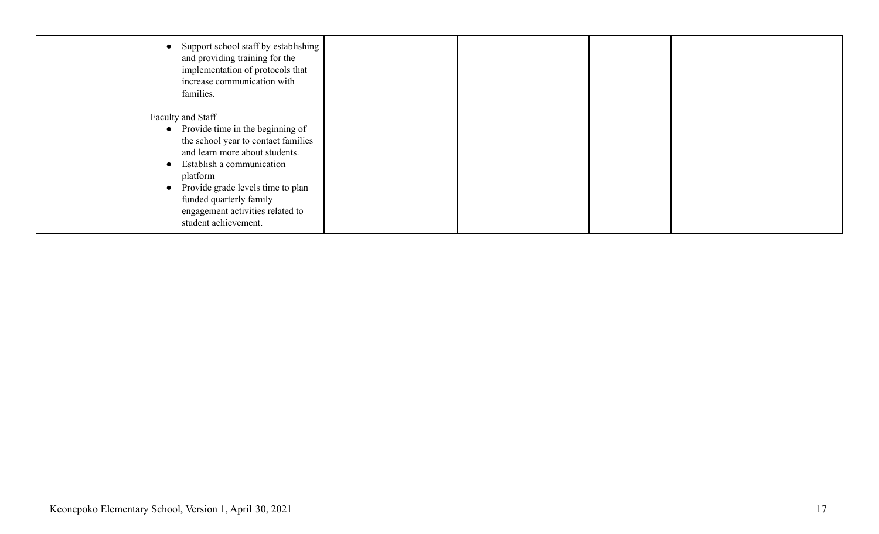| Support school staff by establishing<br>and providing training for the<br>implementation of protocols that<br>increase communication with<br>families.                                                                                                                                                           |  |  |  |
|------------------------------------------------------------------------------------------------------------------------------------------------------------------------------------------------------------------------------------------------------------------------------------------------------------------|--|--|--|
| Faculty and Staff<br>Provide time in the beginning of<br>$\bullet$<br>the school year to contact families<br>and learn more about students.<br>Establish a communication<br>platform<br>Provide grade levels time to plan<br>funded quarterly family<br>engagement activities related to<br>student achievement. |  |  |  |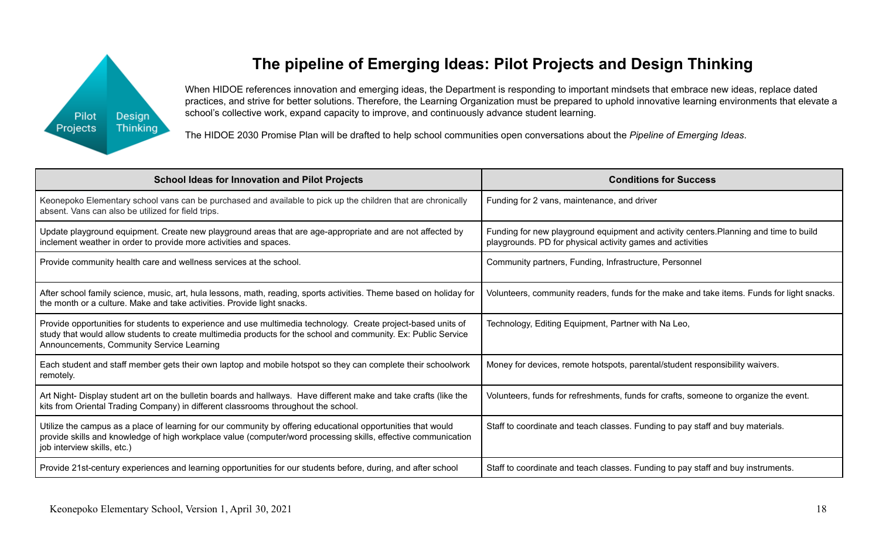

# **The pipeline of Emerging Ideas: Pilot Projects and Design Thinking**

When HIDOE references innovation and emerging ideas, the Department is responding to important mindsets that embrace new ideas, replace dated practices, and strive for better solutions. Therefore, the Learning Organization must be prepared to uphold innovative learning environments that elevate a school's collective work, expand capacity to improve, and continuously advance student learning.

The HIDOE 2030 Promise Plan will be drafted to help school communities open conversations about the *Pipeline of Emerging Ideas*.

| <b>School Ideas for Innovation and Pilot Projects</b>                                                                                                                                                                                                                        | <b>Conditions for Success</b>                                                                                                                       |  |  |  |
|------------------------------------------------------------------------------------------------------------------------------------------------------------------------------------------------------------------------------------------------------------------------------|-----------------------------------------------------------------------------------------------------------------------------------------------------|--|--|--|
| Keonepoko Elementary school vans can be purchased and available to pick up the children that are chronically<br>absent. Vans can also be utilized for field trips.                                                                                                           | Funding for 2 vans, maintenance, and driver                                                                                                         |  |  |  |
| Update playground equipment. Create new playground areas that are age-appropriate and are not affected by<br>inclement weather in order to provide more activities and spaces.                                                                                               | Funding for new playground equipment and activity centers. Planning and time to build<br>playgrounds. PD for physical activity games and activities |  |  |  |
| Provide community health care and wellness services at the school.                                                                                                                                                                                                           | Community partners, Funding, Infrastructure, Personnel                                                                                              |  |  |  |
| After school family science, music, art, hula lessons, math, reading, sports activities. Theme based on holiday for<br>the month or a culture. Make and take activities. Provide light snacks.                                                                               | Volunteers, community readers, funds for the make and take items. Funds for light snacks.                                                           |  |  |  |
| Provide opportunities for students to experience and use multimedia technology. Create project-based units of<br>study that would allow students to create multimedia products for the school and community. Ex: Public Service<br>Announcements, Community Service Learning | Technology, Editing Equipment, Partner with Na Leo,                                                                                                 |  |  |  |
| Each student and staff member gets their own laptop and mobile hotspot so they can complete their schoolwork<br>remotely.                                                                                                                                                    | Money for devices, remote hotspots, parental/student responsibility waivers.                                                                        |  |  |  |
| Art Night- Display student art on the bulletin boards and hallways. Have different make and take crafts (like the<br>kits from Oriental Trading Company) in different classrooms throughout the school.                                                                      | Volunteers, funds for refreshments, funds for crafts, someone to organize the event.                                                                |  |  |  |
| Utilize the campus as a place of learning for our community by offering educational opportunities that would<br>provide skills and knowledge of high workplace value (computer/word processing skills, effective communication<br>job interview skills, etc.)                | Staff to coordinate and teach classes. Funding to pay staff and buy materials.                                                                      |  |  |  |
| Provide 21st-century experiences and learning opportunities for our students before, during, and after school                                                                                                                                                                | Staff to coordinate and teach classes. Funding to pay staff and buy instruments.                                                                    |  |  |  |